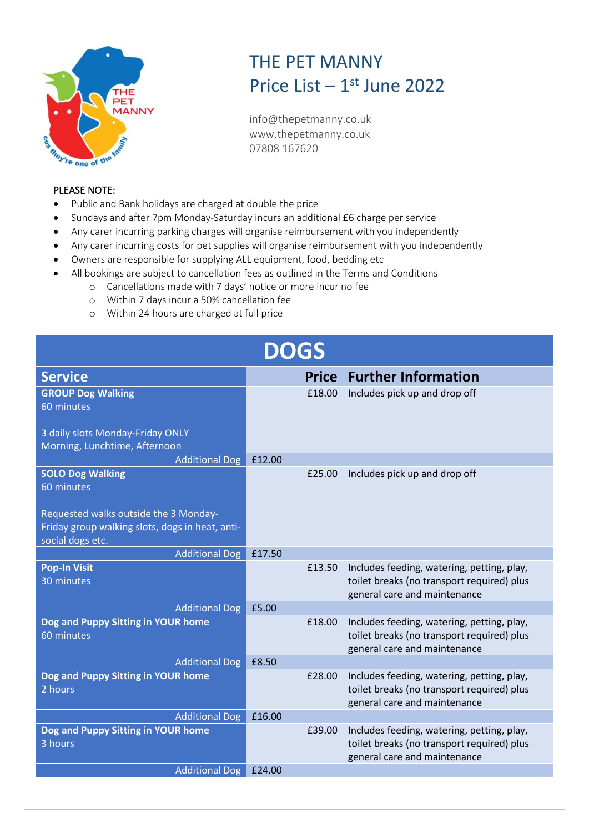

## THE PET MANNY Price List  $-1$ <sup>st</sup> June 2022

info@thepetmanny.co.uk www.thepetmanny.co.uk 07808 167620

## PLEASE NOTE:

- Public and Bank holidays are charged at double the price
- Sundays and after 7pm Monday-Saturday incurs an additional £6 charge per service
- Any carer incurring parking charges will organise reimbursement with you independently
- Any carer incurring costs for pet supplies will organise reimbursement with you independently
- Owners are responsible for supplying ALL equipment, food, bedding etc
- All bookings are subject to cancellation fees as outlined in the Terms and Conditions
	- o Cancellations made with 7 days' notice or more incur no fee
	- o Within 7 days incur a 50% cancellation fee
	- o Within 24 hours are charged at full price

| DOGS                                            |        |              |                                                                                          |  |
|-------------------------------------------------|--------|--------------|------------------------------------------------------------------------------------------|--|
| <b>Service</b>                                  |        | <b>Price</b> | <b>Further Information</b>                                                               |  |
| <b>GROUP Dog Walking</b>                        |        | £18.00       | Includes pick up and drop off                                                            |  |
| 60 minutes                                      |        |              |                                                                                          |  |
| 3 daily slots Monday-Friday ONLY                |        |              |                                                                                          |  |
| Morning, Lunchtime, Afternoon                   |        |              |                                                                                          |  |
| <b>Additional Dog</b>                           | £12.00 |              |                                                                                          |  |
| <b>SOLO Dog Walking</b>                         |        | £25.00       | Includes pick up and drop off                                                            |  |
| 60 minutes                                      |        |              |                                                                                          |  |
| Requested walks outside the 3 Monday-           |        |              |                                                                                          |  |
| Friday group walking slots, dogs in heat, anti- |        |              |                                                                                          |  |
| social dogs etc.                                |        |              |                                                                                          |  |
| <b>Additional Dog</b>                           | £17.50 |              |                                                                                          |  |
| <b>Pop-In Visit</b>                             |        | £13.50       | Includes feeding, watering, petting, play,                                               |  |
| 30 minutes                                      |        |              | toilet breaks (no transport required) plus<br>general care and maintenance               |  |
| <b>Additional Dog</b>                           | £5.00  |              |                                                                                          |  |
| Dog and Puppy Sitting in YOUR home              |        | £18.00       | Includes feeding, watering, petting, play,                                               |  |
| 60 minutes                                      |        |              | toilet breaks (no transport required) plus                                               |  |
|                                                 |        |              | general care and maintenance                                                             |  |
| <b>Additional Dog</b>                           | £8.50  |              |                                                                                          |  |
| Dog and Puppy Sitting in YOUR home<br>2 hours   |        | £28.00       | Includes feeding, watering, petting, play,<br>toilet breaks (no transport required) plus |  |
|                                                 |        |              | general care and maintenance                                                             |  |
| <b>Additional Dog</b>                           | £16.00 |              |                                                                                          |  |
| Dog and Puppy Sitting in YOUR home              |        | £39.00       | Includes feeding, watering, petting, play,                                               |  |
| 3 hours                                         |        |              | toilet breaks (no transport required) plus                                               |  |
|                                                 |        |              | general care and maintenance                                                             |  |
| <b>Additional Dog</b>                           | £24.00 |              |                                                                                          |  |